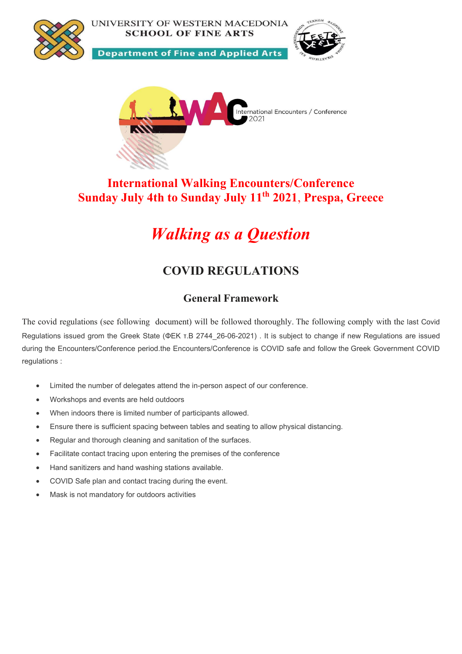

UNIVERSITY OF WESTERN MACEDONIA **SCHOOL OF FINE ARTS** 

**Department of Fine and Applied Arts** 





## International Walking Encounters/Conference Sunday July 4th to Sunday July 11<sup>th</sup> 2021, Prespa, Greece

# Walking as a Question

# COVID REGULATIONS

### General Framework

The covid regulations (see following document) will be followed thoroughly. The following comply with the last Covid Regulations issued grom the Greek State (ΦΕΚ τ.Β 2744\_26-06-2021) . It is subject to change if new Regulations are issued during the Encounters/Conference period.the Encounters/Conference is COVID safe and follow the Greek Government COVID regulations :

- Limited the number of delegates attend the in-person aspect of our conference.
- Workshops and events are held outdoors
- When indoors there is limited number of participants allowed.
- Ensure there is sufficient spacing between tables and seating to allow physical distancing.
- Regular and thorough cleaning and sanitation of the surfaces.
- Facilitate contact tracing upon entering the premises of the conference
- Hand sanitizers and hand washing stations available.
- COVID Safe plan and contact tracing during the event.
- Mask is not mandatory for outdoors activities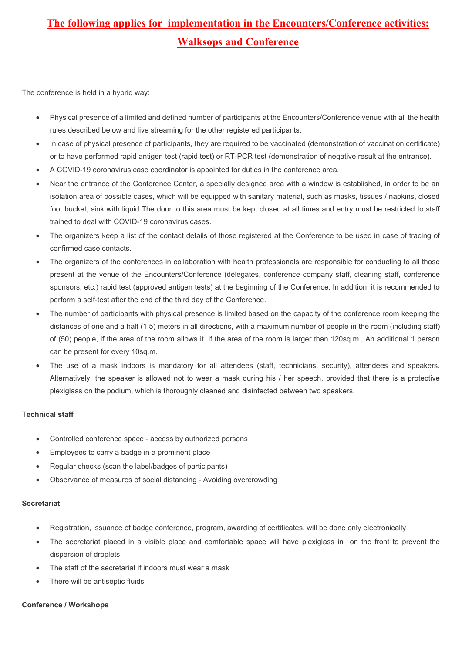# The following applies for implementation in the Encounters/Conference activities: Walksops and Conference

The conference is held in a hybrid way:

- Physical presence of a limited and defined number of participants at the Encounters/Conference venue with all the health rules described below and live streaming for the other registered participants.
- In case of physical presence of participants, they are required to be vaccinated (demonstration of vaccination certificate) or to have performed rapid antigen test (rapid test) or RT-PCR test (demonstration of negative result at the entrance).
- A COVID-19 coronavirus case coordinator is appointed for duties in the conference area.
- Near the entrance of the Conference Center, a specially designed area with a window is established, in order to be an isolation area of possible cases, which will be equipped with sanitary material, such as masks, tissues / napkins, closed foot bucket, sink with liquid The door to this area must be kept closed at all times and entry must be restricted to staff trained to deal with COVID-19 coronavirus cases.
- The organizers keep a list of the contact details of those registered at the Conference to be used in case of tracing of confirmed case contacts.
- The organizers of the conferences in collaboration with health professionals are responsible for conducting to all those present at the venue of the Encounters/Conference (delegates, conference company staff, cleaning staff, conference sponsors, etc.) rapid test (approved antigen tests) at the beginning of the Conference. In addition, it is recommended to perform a self-test after the end of the third day of the Conference.
- The number of participants with physical presence is limited based on the capacity of the conference room keeping the distances of one and a half (1.5) meters in all directions, with a maximum number of people in the room (including staff) of (50) people, if the area of the room allows it. If the area of the room is larger than 120sq.m., An additional 1 person can be present for every 10sq.m.
- The use of a mask indoors is mandatory for all attendees (staff, technicians, security), attendees and speakers. Alternatively, the speaker is allowed not to wear a mask during his / her speech, provided that there is a protective plexiglass on the podium, which is thoroughly cleaned and disinfected between two speakers.

#### Technical staff

- Controlled conference space access by authorized persons
- Employees to carry a badge in a prominent place
- Regular checks (scan the label/badges of participants)
- Observance of measures of social distancing Avoiding overcrowding

#### **Secretariat**

- Registration, issuance of badge conference, program, awarding of certificates, will be done only electronically
- The secretariat placed in a visible place and comfortable space will have plexiglass in on the front to prevent the dispersion of droplets
- The staff of the secretariat if indoors must wear a mask
- There will be antiseptic fluids

#### Conference / Workshops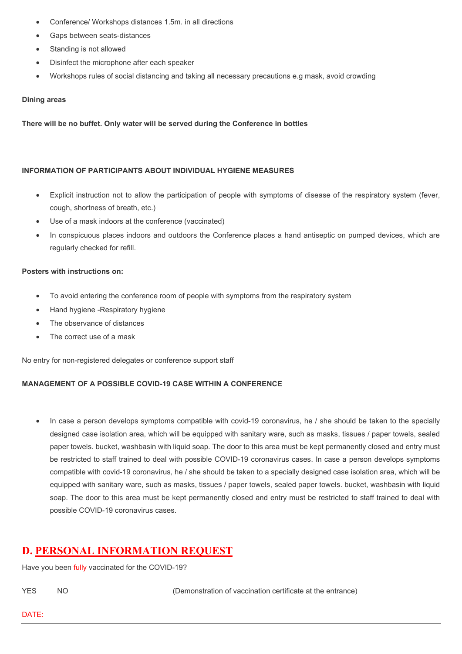- Conference/ Workshops distances 1.5m. in all directions
- Gaps between seats-distances
- Standing is not allowed
- Disinfect the microphone after each speaker
- Workshops rules of social distancing and taking all necessary precautions e.g mask, avoid crowding

#### Dining areas

There will be no buffet. Only water will be served during the Conference in bottles

#### INFORMATION OF PARTICIPANTS ABOUT INDIVIDUAL HYGIENE MEASURES

- Explicit instruction not to allow the participation of people with symptoms of disease of the respiratory system (fever, cough, shortness of breath, etc.)
- Use of a mask indoors at the conference (vaccinated)
- In conspicuous places indoors and outdoors the Conference places a hand antiseptic on pumped devices, which are regularly checked for refill.

#### Posters with instructions on:

- To avoid entering the conference room of people with symptoms from the respiratory system
- Hand hygiene -Respiratory hygiene
- The observance of distances
- The correct use of a mask

No entry for non-registered delegates or conference support staff

#### MANAGEMENT OF A POSSIBLE COVID-19 CASE WITHIN A CONFERENCE

In case a person develops symptoms compatible with covid-19 coronavirus, he / she should be taken to the specially designed case isolation area, which will be equipped with sanitary ware, such as masks, tissues / paper towels, sealed paper towels. bucket, washbasin with liquid soap. The door to this area must be kept permanently closed and entry must be restricted to staff trained to deal with possible COVID-19 coronavirus cases. In case a person develops symptoms compatible with covid-19 coronavirus, he / she should be taken to a specially designed case isolation area, which will be equipped with sanitary ware, such as masks, tissues / paper towels, sealed paper towels. bucket, washbasin with liquid soap. The door to this area must be kept permanently closed and entry must be restricted to staff trained to deal with possible COVID-19 coronavirus cases.

### D. PERSONAL INFORMATION REQUEST

Have you been fully vaccinated for the COVID-19?

YES NO (Demonstration of vaccination certificate at the entrance)

DATE: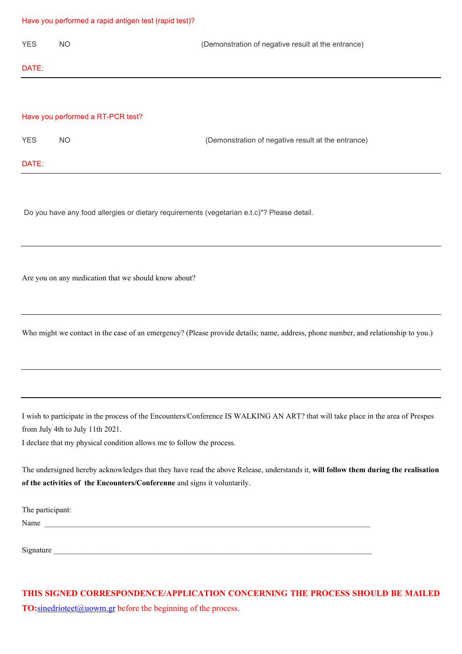#### Have you performed a rapid antigen test (rapid test)?

| <b>YES</b>                        | NO. | (Demonstration of negative result at the entrance) |
|-----------------------------------|-----|----------------------------------------------------|
| DATE:                             |     |                                                    |
|                                   |     |                                                    |
| Have you performed a RT-PCR test? |     |                                                    |
| <b>YES</b>                        | NO. | (Demonstration of negative result at the entrance) |
| DATE:                             |     |                                                    |

Do you have any food allergies or dietary requirements (vegetarian e.t.c)"? Please detail.

Are you on any medication that we should know about?

Who might we contact in the case of an emergency? (Please provide details; name, address, phone number, and relationship to you.)

I wish to participate in the process of the Encounters/Conference IS WALKING AN ART? that will take place in the area of Prespes from July 4th to July 11th 2021.

I declare that my physical condition allows me to follow the process.

The undersigned hereby acknowledges that they have read the above Release, understands it, will follow them during the realisation of the activities of the Encounters/Conferenne and signs it voluntarily.

The participant:

Name

Signature

### THIS SIGNED CORRESPONDENCE/APPLICATION CONCERNING THE PROCESS SHOULD BE MAILED **TO:**sinedrioteet@uowm.gr before the beginning of the process.